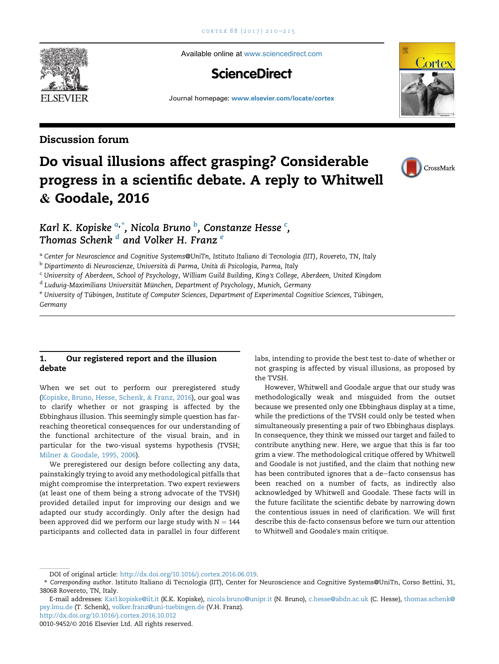Available online at [www.sciencedirect.com](www.sciencedirect.com/science/journal/00109452)

## **ScienceDirect**

Journal homepage: <www.elsevier.com/locate/cortex>

### Discussion forum

# Do visual illusions affect grasping? Considerable progress in a scientific debate. A reply to Whitwell & Goodale, 2016



Karl K. Kopiske <sup>a,\*</sup>. Nicola Bruno <sup>b</sup>. Constanze Hesse <sup>c</sup>. Thomas Schenk  $\frac{d}{d}$  and Volker H. Franz  $^e$ 

a Center for Neuroscience and Cognitive Systems@UniTn, Istituto Italiano di Tecnologia (IIT), Rovereto, TN, Italy

<sup>b</sup> Dipartimento di Neuroscienze, Università di Parma, Unità di Psicologia, Parma, Italy

<sup>c</sup> University of Aberdeen, School of Psychology, William Guild Building, King's College, Aberdeen, United Kingdom

<sup>d</sup> Ludwig-Maximilians Universität München, Department of Psychology, Munich, Germany

e University of Tübingen, Institute of Computer Sciences, Department of Experimental Cognitive Sciences, Tübingen, Germany

#### 1. Our registered report and the illusion debate

When we set out to perform our preregistered study ([Kopiske, Bruno, Hesse, Schenk,](#page-5-0) & [Franz, 2016\)](#page-5-0), our goal was to clarify whether or not grasping is affected by the Ebbinghaus illusion. This seemingly simple question has farreaching theoretical consequences for our understanding of the functional architecture of the visual brain, and in particular for the two-visual systems hypothesis (TVSH; [Milner](#page-5-0) & [Goodale, 1995, 2006](#page-5-0)).

We preregistered our design before collecting any data, painstakingly trying to avoid any methodological pitfalls that might compromise the interpretation. Two expert reviewers (at least one of them being a strong advocate of the TVSH) provided detailed input for improving our design and we adapted our study accordingly. Only after the design had been approved did we perform our large study with  $N = 144$ participants and collected data in parallel in four different labs, intending to provide the best test to-date of whether or not grasping is affected by visual illusions, as proposed by the TVSH.

However, Whitwell and Goodale argue that our study was methodologically weak and misguided from the outset because we presented only one Ebbinghaus display at a time, while the predictions of the TVSH could only be tested when simultaneously presenting a pair of two Ebbinghaus displays. In consequence, they think we missed our target and failed to contribute anything new. Here, we argue that this is far too grim a view. The methodological critique offered by Whitwell and Goodale is not justified, and the claim that nothing new has been contributed ignores that a de-facto consensus has been reached on a number of facts, as indirectly also acknowledged by Whitwell and Goodale. These facts will in the future facilitate the scientific debate by narrowing down the contentious issues in need of clarification. We will first describe this de-facto consensus before we turn our attention to Whitwell and Goodale's main critique.



DOI of original article: <http://dx.doi.org/10.1016/j.cortex.2016.06.019>.

<sup>\*</sup> Corresponding author. Istituto Italiano di Tecnologia (IIT), Center for Neuroscience and Cognitive Systems@UniTn, Corso Bettini, 31, 38068 Rovereto, TN, Italy.

E-mail addresses: [Karl.kopiske@iit.it](mailto:Karl.kopiske@iit.it) (K.K. Kopiske), [nicola.bruno@unipr.it](mailto:nicola.bruno@unipr.it) (N. Bruno), [c.hesse@abdn.ac.uk](mailto:c.hesse@abdn.ac.uk) (C. Hesse), [thomas.schenk@](mailto:thomas.schenk@psy.lmu.de) [psy.lmu.de](mailto:thomas.schenk@psy.lmu.de) (T. Schenk), [volker.franz@uni-tuebingen.de](mailto:volker.franz@uni-tuebingen.de) (V.H. Franz).

<http://dx.doi.org/10.1016/j.cortex.2016.10.012>

<sup>0010-9452/</sup>© 2016 Elsevier Ltd. All rights reserved.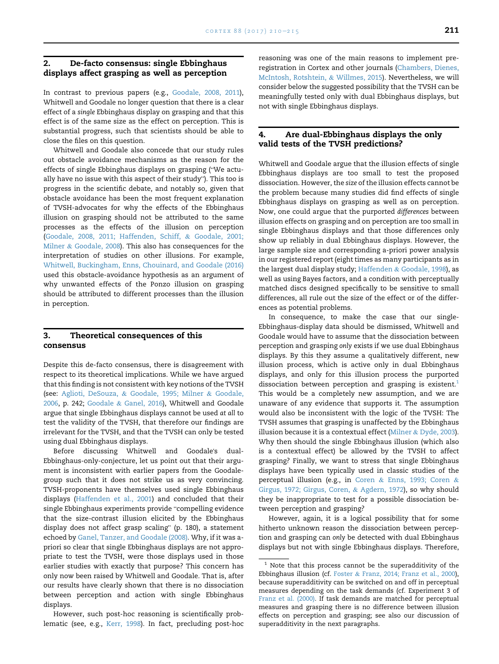#### 2. De-facto consensus: single Ebbinghaus displays affect grasping as well as perception

In contrast to previous papers (e.g., [Goodale, 2008, 2011](#page-4-0)), Whitwell and Goodale no longer question that there is a clear effect of a single Ebbinghaus display on grasping and that this effect is of the same size as the effect on perception. This is substantial progress, such that scientists should be able to close the files on this question.

Whitwell and Goodale also concede that our study rules out obstacle avoidance mechanisms as the reason for the effects of single Ebbinghaus displays on grasping ("We actueffects of single Ebbinghaus displays on grasping ("We actually have no issue with this aspect of their study"). This too is progress in the scientific debate, and notably so, given that obstacle avoidance has been the most frequent explanation of TVSH-advocates for why the effects of the Ebbinghaus illusion on grasping should not be attributed to the same processes as the effects of the illusion on perception [\(Goodale, 2008, 2011; Haffenden, Schiff,](#page-4-0) & [Goodale, 2001;](#page-4-0) [Milner](#page-4-0) & [Goodale, 2008](#page-4-0)). This also has consequences for the interpretation of studies on other illusions. For example, [Whitwell, Buckingham, Enns, Chouinard, and Goodale \(2016\)](#page-5-0) used this obstacle-avoidance hypothesis as an argument of why unwanted effects of the Ponzo illusion on grasping should be attributed to different processes than the illusion in perception.

#### 3. Theoretical consequences of this consensus

Despite this de-facto consensus, there is disagreement with respect to its theoretical implications. While we have argued that this finding is not consistent with key notions of the TVSH (see: [Aglioti, DeSouza,](#page-4-0) & [Goodale, 1995; Milner](#page-4-0) & [Goodale,](#page-4-0) [2006](#page-4-0), p. 242; [Goodale](#page-4-0) & [Ganel, 2016](#page-4-0)), Whitwell and Goodale argue that single Ebbinghaus displays cannot be used at all to test the validity of the TVSH, that therefore our findings are irrelevant for the TVSH, and that the TVSH can only be tested using dual Ebbinghaus displays.

Before discussing Whitwell and Goodale's dual-Ebbinghaus-only-conjecture, let us point out that their argument is inconsistent with earlier papers from the Goodalegroup such that it does not strike us as very convincing. TVSH-proponents have themselves used single Ebbinghaus displays ([Haffenden et al., 2001](#page-4-0)) and concluded that their single Ebbinghaus experiments provide "compelling evidence that the size-contrast illusion elicited by the Ebbinghaus display does not affect grasp scaling" (p. 180), a statement echoed by [Ganel, Tanzer, and Goodale \(2008\).](#page-4-0) Why, if it was apriori so clear that single Ebbinghaus displays are not appropriate to test the TVSH, were those displays used in those earlier studies with exactly that purpose? This concern has only now been raised by Whitwell and Goodale. That is, after our results have clearly shown that there is no dissociation between perception and action with single Ebbinghaus displays.

However, such post-hoc reasoning is scientifically problematic (see, e.g., [Kerr, 1998](#page-4-0)). In fact, precluding post-hoc reasoning was one of the main reasons to implement preregistration in Cortex and other journals [\(Chambers, Dienes,](#page-4-0) [McIntosh, Rotshtein,](#page-4-0) & [Willmes, 2015](#page-4-0)). Nevertheless, we will consider below the suggested possibility that the TVSH can be meaningfully tested only with dual Ebbinghaus displays, but not with single Ebbinghaus displays.

#### 4. Are dual-Ebbinghaus displays the only valid tests of the TVSH predictions?

Whitwell and Goodale argue that the illusion effects of single Ebbinghaus displays are too small to test the proposed dissociation. However, the size of the illusion effects cannot be the problem because many studies did find effects of single Ebbinghaus displays on grasping as well as on perception. Now, one could argue that the purported differences between illusion effects on grasping and on perception are too small in single Ebbinghaus displays and that those differences only show up reliably in dual Ebbinghaus displays. However, the large sample size and corresponding a-priori power analysis in our registered report (eight times as many participants as in the largest dual display study; [Haffenden](#page-4-0) & [Goodale, 1998\)](#page-4-0), as well as using Bayes factors, and a condition with perceptually matched discs designed specifically to be sensitive to small differences, all rule out the size of the effect or of the differences as potential problems.

In consequence, to make the case that our single-Ebbinghaus-display data should be dismissed, Whitwell and Goodale would have to assume that the dissociation between perception and grasping only exists if we use dual Ebbinghaus displays. By this they assume a qualitatively different, new illusion process, which is active only in dual Ebbinghaus displays, and only for this illusion process the purported dissociation between perception and grasping is existent.<sup>1</sup> This would be a completely new assumption, and we are unaware of any evidence that supports it. The assumption would also be inconsistent with the logic of the TVSH: The TVSH assumes that grasping is unaffected by the Ebbinghaus illusion because it is a contextual effect ([Milner](#page-5-0) & [Dyde, 2003](#page-5-0)). Why then should the single Ebbinghaus illusion (which also is a contextual effect) be allowed by the TVSH to affect grasping? Finally, we want to stress that single Ebbinghaus displays have been typically used in classic studies of the perceptual illusion (e.g., in [Coren](#page-4-0) & [Enns, 1993; Coren](#page-4-0) & [Girgus, 1972; Girgus, Coren,](#page-4-0) & [Agdern, 1972\)](#page-4-0), so why should they be inappropriate to test for a possible dissociation between perception and grasping?

However, again, it is a logical possibility that for some hitherto unknown reason the dissociation between perception and grasping can only be detected with dual Ebbinghaus displays but not with single Ebbinghaus displays. Therefore,

 $1$  Note that this process cannot be the superadditivity of the Ebbinghaus illusion (cf. [Foster](#page-4-0) & [Franz, 2014; Franz et al., 2000\)](#page-4-0), because superadditivity can be switched on and off in perceptual measures depending on the task demands (cf. Experiment 3 of [Franz et al. \(2000\).](#page-4-0) If task demands are matched for perceptual measures and grasping there is no difference between illusion effects on perception and grasping; see also our discussion of superadditivity in the next paragraphs.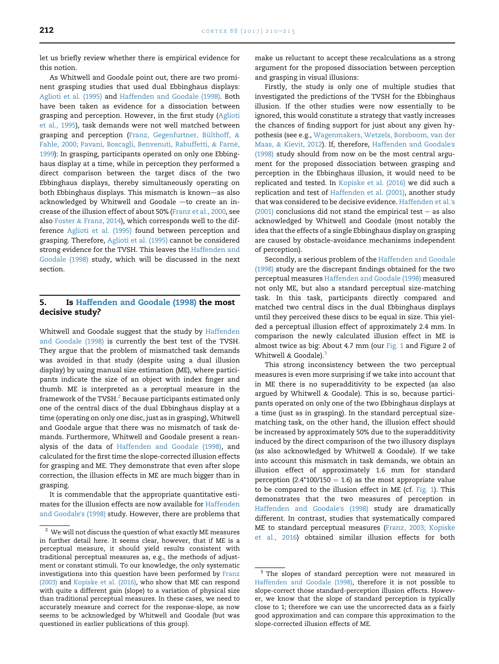<span id="page-2-0"></span>let us briefly review whether there is empirical evidence for this notion.

As Whitwell and Goodale point out, there are two prominent grasping studies that used dual Ebbinghaus displays: [Aglioti et al. \(1995\)](#page-4-0) and [Haffenden and Goodale \(1998\).](#page-4-0) Both have been taken as evidence for a dissociation between grasping and perception. However, in the first study ([Aglioti](#page-4-0) [et al., 1995](#page-4-0)), task demands were not well matched between grasping and perception (Franz, Gegenfurtner, Bülthoff,  $\&$ [Fahle, 2000; Pavani, Boscagli, Benvenuti, Rabuffetti,](#page-4-0) & [Farne,](#page-4-0) [1999\)](#page-4-0): In grasping, participants operated on only one Ebbinghaus display at a time, while in perception they performed a direct comparison between the target discs of the two Ebbinghaus displays, thereby simultaneously operating on both Ebbinghaus displays. This mismatch is known-as also acknowledged by Whitwell and Goodale  $-$ to create an increase of the illusion effect of about 50% ([Franz et al., 2000,](#page-4-0) see also [Foster](#page-4-0) & [Franz, 2014](#page-4-0)), which corresponds well to the difference [Aglioti et al. \(1995\)](#page-4-0) found between perception and grasping. Therefore, [Aglioti et al. \(1995\)](#page-4-0) cannot be considered strong evidence for the TVSH. This leaves the [Haffenden and](#page-4-0) [Goodale \(1998\)](#page-4-0) study, which will be discussed in the next section.

#### 5. Is [Haffenden and Goodale \(1998\)](#page-4-0) the most decisive study?

Whitwell and Goodale suggest that the study by [Haffenden](#page-4-0) [and Goodale \(1998\)](#page-4-0) is currently the best test of the TVSH. They argue that the problem of mismatched task demands was avoided in that study (despite using a dual illusion display) by using manual size estimation (ME), where participants indicate the size of an object with index finger and thumb. ME is interpreted as a perceptual measure in the framework of the TVSH.<sup>2</sup> Because participants estimated only one of the central discs of the dual Ebbinghaus display at a time (operating on only one disc, just as in grasping), Whitwell and Goodale argue that there was no mismatch of task demands. Furthermore, Whitwell and Goodale present a reanalysis of the data of [Haffenden and Goodale \(1998\)](#page-4-0), and calculated for the first time the slope-corrected illusion effects for grasping and ME. They demonstrate that even after slope correction, the illusion effects in ME are much bigger than in grasping.

It is commendable that the appropriate quantitative estimates for the illusion effects are now available for [Haffenden](#page-4-0) [and Goodale](#page-4-0)'s (1998) study. However, there are problems that make us reluctant to accept these recalculations as a strong argument for the proposed dissociation between perception and grasping in visual illusions:

Firstly, the study is only one of multiple studies that investigated the predictions of the TVSH for the Ebbinghaus illusion. If the other studies were now essentially to be ignored, this would constitute a strategy that vastly increases the chances of finding support for just about any given hypothesis (see e.g., [Wagenmakers, Wetzels, Borsboom, van der](#page-5-0) [Maas,](#page-5-0) & [Kievit, 2012\)](#page-5-0). If, therefore, [Haffenden and Goodale](#page-4-0)'s [\(1998\)](#page-4-0) study should from now on be the most central argument for the proposed dissociation between grasping and perception in the Ebbinghaus illusion, it would need to be replicated and tested. In [Kopiske et al. \(2016\)](#page-5-0) we did such a replication and test of [Haffenden et al. \(2001\)](#page-4-0), another study that was considered to be decisive evidence. [Haffenden et al.](#page-4-0)'s [\(2001\)](#page-4-0) conclusions did not stand the empirical test  $-$  as also acknowledged by Whitwell and Goodale (most notably the idea that the effects of a single Ebbinghaus display on grasping are caused by obstacle-avoidance mechanisms independent of perception).

Secondly, a serious problem of the [Haffenden and Goodale](#page-4-0) [\(1998\)](#page-4-0) study are the discrepant findings obtained for the two perceptual measures [Haffenden and Goodale \(1998\)](#page-4-0) measured not only ME, but also a standard perceptual size-matching task. In this task, participants directly compared and matched two central discs in the dual Ebbinghaus displays until they perceived these discs to be equal in size. This yielded a perceptual illusion effect of approximately 2.4 mm. In comparison the newly calculated illusion effect in ME is almost twice as big: About 4.7 mm (our [Fig. 1](#page-3-0) and Figure 2 of Whitwell  $\&$  Goodale).<sup>3</sup>

This strong inconsistency between the two perceptual measures is even more surprising if we take into account that in ME there is no superadditivity to be expected (as also argued by Whitwell & Goodale). This is so, because participants operated on only one of the two Ebbinghaus displays at a time (just as in grasping). In the standard perceptual sizematching task, on the other hand, the illusion effect should be increased by approximately 50% due to the superadditivity induced by the direct comparison of the two illusory displays (as also acknowledged by Whitwell  $&$  Goodale). If we take into account this mismatch in task demands, we obtain an illusion effect of approximately 1.6 mm for standard perception (2.4\*100/150 = 1.6) as the most appropriate value to be compared to the illusion effect in ME (cf. [Fig. 1](#page-3-0)). This demonstrates that the two measures of perception in [Haffenden and Goodale](#page-4-0)'s (1998) study are dramatically different. In contrast, studies that systematically compared ME to standard perceptual measures ([Franz, 2003; Kopiske](#page-4-0) [et al., 2016\)](#page-4-0) obtained similar illusion effects for both

 $2$  We will not discuss the question of what exactly ME measures in further detail here. It seems clear, however, that if ME is a perceptual measure, it should yield results consistent with traditional perceptual measures as, e.g., the methods of adjustment or constant stimuli. To our knowledge, the only systematic investigations into this question have been performed by [Franz](#page-4-0) [\(2003\)](#page-4-0) and [Kopiske et al. \(2016\)](#page-5-0), who show that ME can respond with quite a different gain (slope) to a variation of physical size than traditional perceptual measures. In these cases, we need to accurately measure and correct for the response-slope, as now seems to be acknowledged by Whitwell and Goodale (but was questioned in earlier publications of this group).

<sup>&</sup>lt;sup>3</sup> The slopes of standard perception were not measured in [Haffenden and Goodale \(1998\),](#page-4-0) therefore it is not possible to slope-correct those standard-perception illusion effects. However, we know that the slope of standard perception is typically close to 1; therefore we can use the uncorrected data as a fairly good approximation and can compare this approximation to the slope-corrected illusion effects of ME.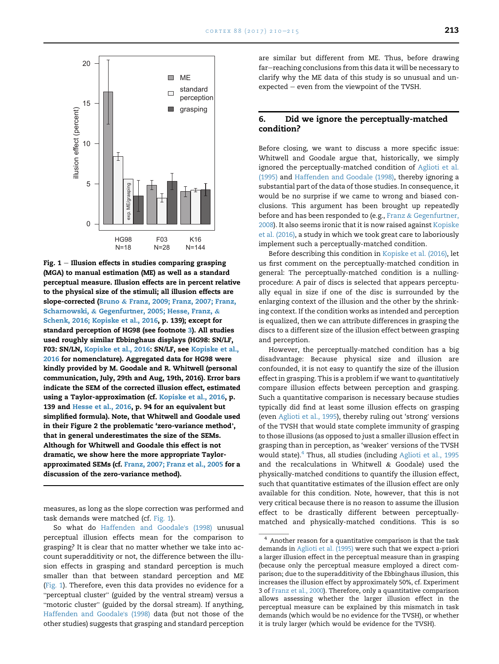<span id="page-3-0"></span>

Fig.  $1$  – Illusion effects in studies comparing grasping (MGA) to manual estimation (ME) as well as a standard perceptual measure. Illusion effects are in percent relative to the physical size of the stimuli; all illusion effects are slope-corrected [\(Bruno](#page-4-0) & [Franz, 2009; Franz, 2007; Franz,](#page-4-0) [Scharnowski,](#page-4-0) & [Gegenfurtner, 2005; Hesse, Franz,](#page-4-0) & [Schenk, 2016; Kopiske et al., 2016,](#page-4-0) p. 139); except for standard perception of HG98 (see footnote [3](#page-2-0)). All studies used roughly similar Ebbinghaus displays (HG98: SN/LF, F03: SN/LN, [Kopiske et al., 2016](#page-5-0): SN/LF, see [Kopiske et al.,](#page-5-0) [2016](#page-5-0) for nomenclature). Aggregated data for HG98 were kindly provided by M. Goodale and R. Whitwell (personal communication, July, 29th and Aug, 19th, 2016). Error bars indicate the SEM of the corrected illusion effect, estimated using a Taylor-approximation (cf. [Kopiske et al., 2016,](#page-5-0) p. 139 and [Hesse et al., 2016,](#page-4-0) p. 94 for an equivalent but simplified formula). Note, that Whitwell and Goodale used in their Figure 2 the problematic 'zero-variance method', that in general underestimates the size of the SEMs. Although for Whitwell and Goodale this effect is not dramatic, we show here the more appropriate Taylorapproximated SEMs (cf. [Franz, 2007; Franz et al., 2005](#page-4-0) for a discussion of the zero-variance method).

measures, as long as the slope correction was performed and task demands were matched (cf. Fig. 1).

are similar but different from ME. Thus, before drawing far-reaching conclusions from this data it will be necessary to clarify why the ME data of this study is so unusual and un $expected - even from the viewpoint of the TVSH.$ 

#### 6. Did we ignore the perceptually-matched condition?

Before closing, we want to discuss a more specific issue: Whitwell and Goodale argue that, historically, we simply ignored the perceptually-matched condition of [Aglioti et al.](#page-4-0) [\(1995\)](#page-4-0) and [Haffenden and Goodale \(1998\)](#page-4-0), thereby ignoring a substantial part of the data of those studies. In consequence, it would be no surprise if we came to wrong and biased conclusions. This argument has been brought up repeatedly before and has been responded to (e.g., [Franz](#page-4-0) & [Gegenfurtner,](#page-4-0) [2008](#page-4-0)). It also seems ironic that it is now raised against [Kopiske](#page-5-0) [et al. \(2016\)](#page-5-0), a study in which we took great care to laboriously implement such a perceptually-matched condition.

Before describing this condition in [Kopiske et al. \(2016\),](#page-5-0) let us first comment on the perceptually-matched condition in general: The perceptually-matched condition is a nullingprocedure: A pair of discs is selected that appears perceptually equal in size if one of the disc is surrounded by the enlarging context of the illusion and the other by the shrinking context. If the condition works as intended and perception is equalized, then we can attribute differences in grasping the discs to a different size of the illusion effect between grasping and perception.

However, the perceptually-matched condition has a big disadvantage: Because physical size and illusion are confounded, it is not easy to quantify the size of the illusion effect in grasping. This is a problem if we want to quantitatively compare illusion effects between perception and grasping. Such a quantitative comparison is necessary because studies typically did find at least some illusion effects on grasping (even [Aglioti et al., 1995](#page-4-0)), thereby ruling out 'strong' versions of the TVSH that would state complete immunity of grasping to those illusions (as opposed to just a smaller illusion effect in grasping than in perception, as 'weaker' versions of the TVSH would state). $4$  Thus, all studies (including [Aglioti et al., 1995](#page-4-0) and the recalculations in Whitwell & Goodale) used the physically-matched conditions to quantify the illusion effect, such that quantitative estimates of the illusion effect are only available for this condition. Note, however, that this is not very critical because there is no reason to assume the illusion effect to be drastically different between perceptuallymatched and physically-matched conditions. This is so

So what do [Haffenden and Goodale](#page-4-0)'s (1998) unusual perceptual illusion effects mean for the comparison to grasping? It is clear that no matter whether we take into account superadditivity or not, the difference between the illusion effects in grasping and standard perception is much smaller than that between standard perception and ME (Fig. 1). Therefore, even this data provides no evidence for a "perceptual cluster" (guided by the ventral stream) versus a "perceptual cluster" (guided by the ventral stream) versus a motoric cluster" (guided by the dorsal stream). If anything, [Haffenden and Goodale](#page-4-0)'s (1998) data (but not those of the other studies) suggests that grasping and standard perception

 $^{\rm 4}$  Another reason for a quantitative comparison is that the task demands in [Aglioti et al. \(1995\)](#page-4-0) were such that we expect a-priori a larger illusion effect in the perceptual measure than in grasping (because only the perceptual measure employed a direct comparison; due to the superadditivity of the Ebbinghaus illusion, this increases the illusion effect by approximately 50%, cf. Experiment 3 of [Franz et al., 2000](#page-4-0)). Therefore, only a quantitative comparison allows assessing whether the larger illusion effect in the perceptual measure can be explained by this mismatch in task demands (which would be no evidence for the TVSH), or whether it is truly larger (which would be evidence for the TVSH).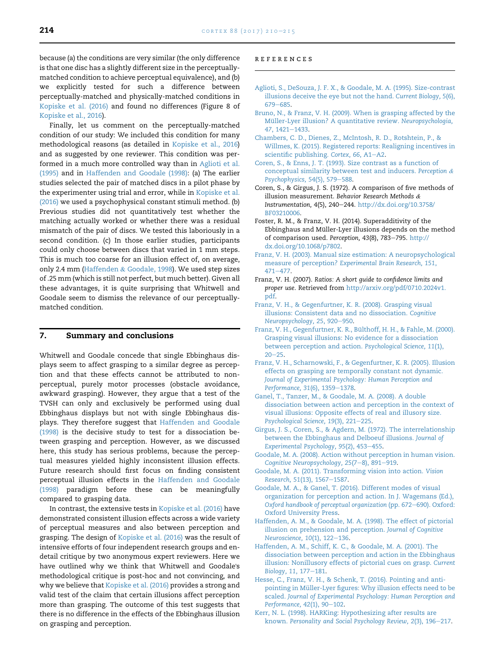<span id="page-4-0"></span>because (a) the conditions are very similar (the only difference is that one disc has a slightly different size in the perceptuallymatched condition to achieve perceptual equivalence), and (b) we explicitly tested for such a difference between perceptually-matched and physically-matched conditions in [Kopiske et al. \(2016\)](#page-5-0) and found no differences (Figure 8 of [Kopiske et al., 2016\)](#page-5-0).

Finally, let us comment on the perceptually-matched condition of our study: We included this condition for many methodological reasons (as detailed in [Kopiske et al., 2016\)](#page-5-0) and as suggested by one reviewer. This condition was performed in a much more controlled way than in Aglioti et al. (1995) and in Haffenden and Goodale (1998): (a) The earlier studies selected the pair of matched discs in a pilot phase by the experimenter using trial and error, while in [Kopiske et al.](#page-5-0) [\(2016\)](#page-5-0) we used a psychophysical constant stimuli method. (b) Previous studies did not quantitatively test whether the matching actually worked or whether there was a residual mismatch of the pair of discs. We tested this laboriously in a second condition. (c) In those earlier studies, participants could only choose between discs that varied in 1 mm steps. This is much too coarse for an illusion effect of, on average, only 2.4 mm (Haffenden & Goodale, 1998). We used step sizes of .25 mm (which is still not perfect, but much better). Given all these advantages, it is quite surprising that Whitwell and Goodale seem to dismiss the relevance of our perceptuallymatched condition.

#### 7. Summary and conclusions

Whitwell and Goodale concede that single Ebbinghaus displays seem to affect grasping to a similar degree as perception and that these effects cannot be attributed to nonperceptual, purely motor processes (obstacle avoidance, awkward grasping). However, they argue that a test of the TVSH can only and exclusively be performed using dual Ebbinghaus displays but not with single Ebbinghaus displays. They therefore suggest that Haffenden and Goodale (1998) is the decisive study to test for a dissociation between grasping and perception. However, as we discussed here, this study has serious problems, because the perceptual measures yielded highly inconsistent illusion effects. Future research should first focus on finding consistent perceptual illusion effects in the Haffenden and Goodale (1998) paradigm before these can be meaningfully compared to grasping data.

In contrast, the extensive tests in [Kopiske et al. \(2016\)](#page-5-0) have demonstrated consistent illusion effects across a wide variety of perceptual measures and also between perception and grasping. The design of [Kopiske et al. \(2016\)](#page-5-0) was the result of intensive efforts of four independent research groups and endetail critique by two anonymous expert reviewers. Here we have outlined why we think that Whitwell and Goodale's methodological critique is post-hoc and not convincing, and why we believe that [Kopiske et al. \(2016\)](#page-5-0) provides a strong and valid test of the claim that certain illusions affect perception more than grasping. The outcome of this test suggests that there is no difference in the effects of the Ebbinghaus illusion on grasping and perception.

#### references

- [Aglioti, S., DeSouza, J. F. X., & Goodale, M. A. \(1995\). Size-contrast](http://refhub.elsevier.com/S0010-9452(16)30303-3/sref1) [illusions deceive the eye but not the hand.](http://refhub.elsevier.com/S0010-9452(16)30303-3/sref1) Current Biology, 5(6), [679](http://refhub.elsevier.com/S0010-9452(16)30303-3/sref1)-[685.](http://refhub.elsevier.com/S0010-9452(16)30303-3/sref1)
- [Bruno, N., & Franz, V. H. \(2009\). When is grasping affected by the](http://refhub.elsevier.com/S0010-9452(16)30303-3/sref2) Mü[ller-Lyer illusion? A quantitative review.](http://refhub.elsevier.com/S0010-9452(16)30303-3/sref2) Neuropsychologia, 47[, 1421](http://refhub.elsevier.com/S0010-9452(16)30303-3/sref2)-[1433.](http://refhub.elsevier.com/S0010-9452(16)30303-3/sref2)
- [Chambers, C. D., Dienes, Z., McIntosh, R. D., Rotshtein, P., &](http://refhub.elsevier.com/S0010-9452(16)30303-3/sref3) [Willmes, K. \(2015\). Registered reports: Realigning incentives in](http://refhub.elsevier.com/S0010-9452(16)30303-3/sref3) [scientific publishing.](http://refhub.elsevier.com/S0010-9452(16)30303-3/sref3) Cortex, 66, A1-[A2](http://refhub.elsevier.com/S0010-9452(16)30303-3/sref3).
- [Coren, S., & Enns, J. T. \(1993\). Size contrast as a function of](http://refhub.elsevier.com/S0010-9452(16)30303-3/sref4) [conceptual similarity between test and inducers.](http://refhub.elsevier.com/S0010-9452(16)30303-3/sref4) Perception & [Psychophysics, 54](http://refhub.elsevier.com/S0010-9452(16)30303-3/sref4)(5), 579-[588](http://refhub.elsevier.com/S0010-9452(16)30303-3/sref4).
- Coren, S., & Girgus, J. S. (1972). A comparison of five methods of illusion measurement. Behavior Research Methods & Instrumentation, 4(5), 240-244. [http://dx.doi.org/10.3758/](http://dx.doi.org/10.3758/BF03210006) [BF03210006](http://dx.doi.org/10.3758/BF03210006).
- Foster, R. M., & Franz, V. H. (2014). Superadditivity of the Ebbinghaus and Müller-Lyer illusions depends on the method of comparison used. Perception, 43(8), 783-795. [http://](http://dx.doi.org/10.1068/p7802) [dx.doi.org/10.1068/p7802](http://dx.doi.org/10.1068/p7802).
- [Franz, V. H. \(2003\). Manual size estimation: A neuropsychological](http://refhub.elsevier.com/S0010-9452(16)30303-3/sref7) measure of perception? [Experimental Brain Research, 151](http://refhub.elsevier.com/S0010-9452(16)30303-3/sref7), [471](http://refhub.elsevier.com/S0010-9452(16)30303-3/sref7)-[477.](http://refhub.elsevier.com/S0010-9452(16)30303-3/sref7)
- Franz, V. H. (2007). Ratios: A short guide to confidence limits and proper use. Retrieved from [http://arxiv.org/pdf/0710.2024v1.](http://arxiv.org/pdf/0710.2024v1.pdf) [pdf](http://arxiv.org/pdf/0710.2024v1.pdf).
- [Franz, V. H., & Gegenfurtner, K. R. \(2008\). Grasping visual](http://refhub.elsevier.com/S0010-9452(16)30303-3/sref9) [illusions: Consistent data and no dissociation.](http://refhub.elsevier.com/S0010-9452(16)30303-3/sref9) Cognitive [Neuropsychology, 25](http://refhub.elsevier.com/S0010-9452(16)30303-3/sref9), 920-[950](http://refhub.elsevier.com/S0010-9452(16)30303-3/sref9).
- Franz, V. H., Gegenfurtner, K. R., Bülthoff, H. H., & Fahle, M. (2000). [Grasping visual illusions: No evidence for a dissociation](http://refhub.elsevier.com/S0010-9452(16)30303-3/sref10) [between perception and action.](http://refhub.elsevier.com/S0010-9452(16)30303-3/sref10) Psychological Science, 11(1),  $20 - 25$  $20 - 25$  $20 - 25$ .
- [Franz, V. H., Scharnowski, F., & Gegenfurtner, K. R. \(2005\). Illusion](http://refhub.elsevier.com/S0010-9452(16)30303-3/sref11) [effects on grasping are temporally constant not dynamic.](http://refhub.elsevier.com/S0010-9452(16)30303-3/sref11) [Journal of Experimental Psychology: Human Perception and](http://refhub.elsevier.com/S0010-9452(16)30303-3/sref11) [Performance, 31](http://refhub.elsevier.com/S0010-9452(16)30303-3/sref11)(6), 1359-[1378.](http://refhub.elsevier.com/S0010-9452(16)30303-3/sref11)
- [Ganel, T., Tanzer, M., & Goodale, M. A. \(2008\). A double](http://refhub.elsevier.com/S0010-9452(16)30303-3/sref12) [dissociation between action and perception in the context of](http://refhub.elsevier.com/S0010-9452(16)30303-3/sref12) [visual illusions: Opposite effects of real and illusory size.](http://refhub.elsevier.com/S0010-9452(16)30303-3/sref12) [Psychological Science, 19](http://refhub.elsevier.com/S0010-9452(16)30303-3/sref12)(3), 221-[225](http://refhub.elsevier.com/S0010-9452(16)30303-3/sref12).
- [Girgus, J. S., Coren, S., & Agdern, M. \(1972\). The interrelationship](http://refhub.elsevier.com/S0010-9452(16)30303-3/sref13) [between the Ebbinghaus and Delboeuf illusions.](http://refhub.elsevier.com/S0010-9452(16)30303-3/sref13) Journal of [Experimental Psychology, 95](http://refhub.elsevier.com/S0010-9452(16)30303-3/sref13)(2), 453-[455](http://refhub.elsevier.com/S0010-9452(16)30303-3/sref13).
- [Goodale, M. A. \(2008\). Action without perception in human vision.](http://refhub.elsevier.com/S0010-9452(16)30303-3/sref14) [Cognitive Neuropsychology, 25](http://refhub.elsevier.com/S0010-9452(16)30303-3/sref14)(7-[8\), 891](http://refhub.elsevier.com/S0010-9452(16)30303-3/sref14)-[919.](http://refhub.elsevier.com/S0010-9452(16)30303-3/sref14)
- [Goodale, M. A. \(2011\). Transforming vision into action.](http://refhub.elsevier.com/S0010-9452(16)30303-3/sref15) Vision [Research, 51](http://refhub.elsevier.com/S0010-9452(16)30303-3/sref15)(13), 1567-[1587.](http://refhub.elsevier.com/S0010-9452(16)30303-3/sref15)
- [Goodale, M. A., & Ganel, T. \(2016\). Different modes of visual](http://refhub.elsevier.com/S0010-9452(16)30303-3/sref16) [organization for perception and action. In J. Wagemans \(Ed.\),](http://refhub.elsevier.com/S0010-9452(16)30303-3/sref16) [Oxford handbook of perceptual organization](http://refhub.elsevier.com/S0010-9452(16)30303-3/sref16) (pp. 672-[690\). Oxford:](http://refhub.elsevier.com/S0010-9452(16)30303-3/sref16) [Oxford University Press](http://refhub.elsevier.com/S0010-9452(16)30303-3/sref16).
- [Haffenden, A. M., & Goodale, M. A. \(1998\). The effect of pictorial](http://refhub.elsevier.com/S0010-9452(16)30303-3/sref17) [illusion on prehension and perception.](http://refhub.elsevier.com/S0010-9452(16)30303-3/sref17) Journal of Cognitive [Neuroscience, 10](http://refhub.elsevier.com/S0010-9452(16)30303-3/sref17)(1), 122-[136](http://refhub.elsevier.com/S0010-9452(16)30303-3/sref17).
- [Haffenden, A. M., Schiff, K. C., & Goodale, M. A. \(2001\). The](http://refhub.elsevier.com/S0010-9452(16)30303-3/sref18) [dissociation between perception and action in the Ebbinghaus](http://refhub.elsevier.com/S0010-9452(16)30303-3/sref18) [illusion: Nonillusory effects of pictorial cues on grasp.](http://refhub.elsevier.com/S0010-9452(16)30303-3/sref18) Current [Biology, 11](http://refhub.elsevier.com/S0010-9452(16)30303-3/sref18), 177-[181](http://refhub.elsevier.com/S0010-9452(16)30303-3/sref18).
- [Hesse, C., Franz, V. H., & Schenk, T. \(2016\). Pointing and anti](http://refhub.elsevier.com/S0010-9452(16)30303-3/sref19)pointing in Mü[ller-Lyer figures: Why illusion effects need to be](http://refhub.elsevier.com/S0010-9452(16)30303-3/sref19) scaled. [Journal of Experimental Psychology: Human Perception and](http://refhub.elsevier.com/S0010-9452(16)30303-3/sref19) [Performance, 42](http://refhub.elsevier.com/S0010-9452(16)30303-3/sref19)(1), 90-[102](http://refhub.elsevier.com/S0010-9452(16)30303-3/sref19).
- [Kerr, N. L. \(1998\). HARKing: Hypothesizing after results are](http://refhub.elsevier.com/S0010-9452(16)30303-3/sref20) known. [Personality and Social Psychology Review, 2](http://refhub.elsevier.com/S0010-9452(16)30303-3/sref20)(3), 196-[217](http://refhub.elsevier.com/S0010-9452(16)30303-3/sref20).